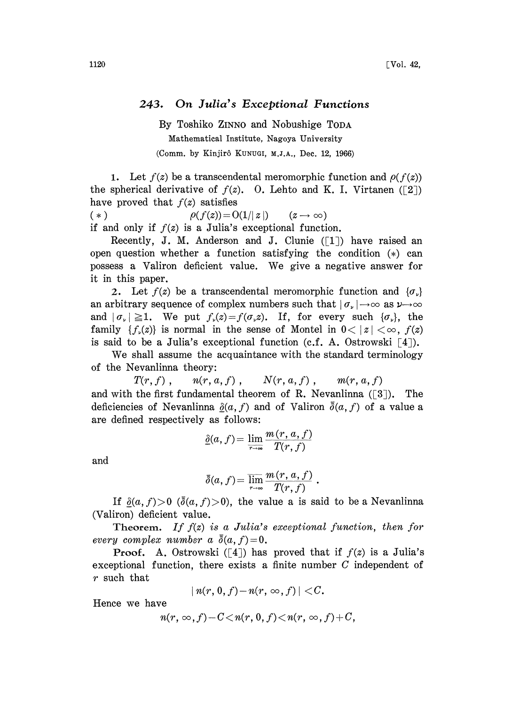## 243. On Julia's Exceptional Functions

By Toshiko ZINN0 and Nobushige TODA Mathematical Institute, Nagoya University (Comm. by Kinjirô Kunugi, M.J.A., Dec. 12, 1966)

1. Let  $f(z)$  be a transcendental meromorphic function and  $\rho(f(z))$ the spherical derivative of  $f(z)$ . O. Lehto and K. I. Virtanen ([2]) have proved that  $f(z)$  satisfies

(\*)  $\rho(f(z))=O(1/|z|)$   $(z\rightarrow\infty)$ if and only if  $f(z)$  is a Julia's exceptional function.

Recently, J. M. Anderson and J. Clunie  $(1)$  have raised an open question whether a function satisfying the condition  $(*)$  can possess <sup>a</sup> Valiron deficient value. We give <sup>a</sup> negative answer for it in this paper.

2. Let  $f(z)$  be a transcendental meromorphic function and  $\{\sigma_{\nu}\}\$ an arbitrary sequence of complex numbers such that  $|\sigma_{\nu}| \rightarrow \infty$  as  $\nu \rightarrow \infty$ and  $|\sigma_{\nu}| \geq 1$ . We put  $f_{\nu}(z) = f(\sigma_{\nu}z)$ . If, for every such  $\{\sigma_{\nu}\}\$ , the family  $\{f_\nu(z)\}\$ is normal in the sense of Montel in  $0<|z|<\infty$ ,  $f(z)$ is said to be a Julia's exceptional function (c.f. A. Ostrowski  $\lceil 4 \rceil$ ).

We shall assume the acquaintance with the standard terminology of the Nevanlinna theory:

 $T(r, f)$ ,  $n(r, a, f)$ ,  $N(r, a, f)$ ,  $m(r, a, f)$ 

and with the first fundamental theorem of R. Nevanlinna  $(3)$ . The deficiencies of Nevanlinna  $\delta(a, f)$  and of Valiron  $\bar{\delta}(a, f)$  of a value a are defined respectively as follows:

$$
\underline{\delta}(a, f) = \lim_{\tau \to \infty} \frac{m(r, a, f)}{T(r, f)}
$$

and

$$
\bar{\delta}(a, f) = \overline{\lim_{r \to \infty}} \frac{m(r, a, f)}{T(r, f)}.
$$

If  $\delta(a, f) > 0$  ( $\bar{\delta}(a, f) > 0$ ), the value a is said to be a Nevanlinna (Valiron) deficient value.

Theorem. If  $f(z)$  is a Julia's exceptional function, then for every complex number a  $\bar{\delta}(a, f)=0$ .

**Proof.** A. Ostrowski ([4]) has proved that if  $f(z)$  is a Julia's exceptional function, there exists a finite number C independent of r such that

$$
| n(r, 0, f) - n(r, \infty, f) | < C.
$$

Hence we have

$$
n(r,\infty,f)-C
$$